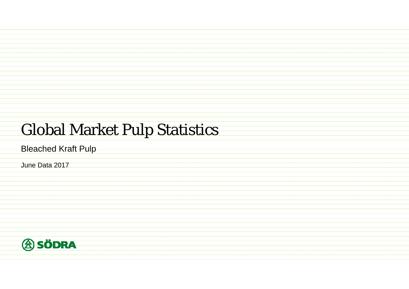## Global Market Pulp Statistics

Bleached Kraft Pulp

June Data 2017

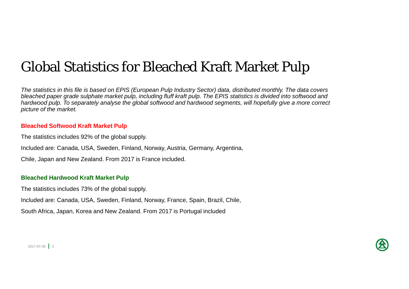## Global Statistics for Bleached Kraft Market Pulp

*The statistics in this file is based on EPIS (European Pulp Industry Sector) data, distributed monthly. The data covers*  bleached paper grade sulphate market pulp, including fluff kraft pulp. The EPIS statistics is divided into softwood and *hardwood pulp. To separately analyse the global softwood and hardwood segments, will hopefully give a more correct picture of the market.*

#### **Bleached Softwood Kraft Market Pulp**

The statistics includes 92% of the global supply.

Included are: Canada, USA, Sweden, Finland, Norway, Austria, Germany, Argentina,

Chile, Japan and New Zealand. From 2017 is France included.

#### **Bleached Hardwood Kraft Market Pulp**

The statistics includes 73% of the global supply.

Included are: Canada, USA, Sweden, Finland, Norway, France, Spain, Brazil, Chile,

South Africa, Japan, Korea and New Zealand. From 2017 is Portugal included

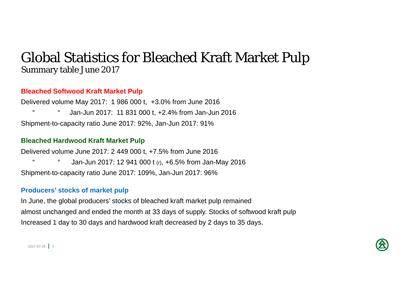### Global Statistics for Bleached Kraft Market Pulp Summary table June 2017

#### **Bleached Softwood Kraft Market Pulp**

Delivered volume May 2017: 1 986 000 t, +3.0% from June 2016 " " Jan-Jun 2017: 11 831 000 t, +2.4% from Jan-Jun 2016 Shipment-to-capacity ratio June 2017: 92%, Jan-Jun 2017: 91%

#### **Bleached Hardwood Kraft Market Pulp**

Delivered volume June 2017: 2 449 000 t, +7.5% from June 2016 Jan-Jun 2017: 12 941 000 t (r), +6.5% from Jan-May 2016 Shipment-to-capacity ratio June 2017: 109%, Jan-Jun 2017: 96%

#### **Producers' stocks of market pulp**

In June, the global producers' stocks of bleached kraft market pulp remained almost unchanged and ended the month at 33 days of supply. Stocks of softwood kraft pulp Increased 1 day to 30 days and hardwood kraft decreased by 2 days to 35 days.



 $2017 - 07 - 28$  3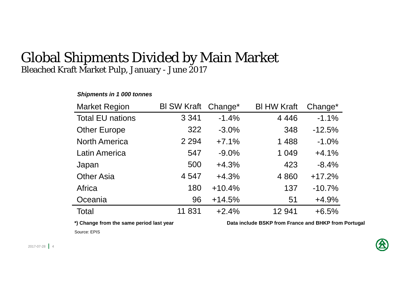#### Global Shipments Divided by Main Market Bleached Kraft Market Pulp, January - June 2017

#### *Shipments in 1 000 tonnes*

| <b>Market Region</b>    | <b>BI SW Kraft</b> | Change <sup>*</sup> | <b>BI HW Kraft</b> | Change*  |
|-------------------------|--------------------|---------------------|--------------------|----------|
| <b>Total EU nations</b> | 3 3 4 1            | $-1.4%$             | 4 4 4 6            | $-1.1%$  |
| <b>Other Europe</b>     | 322                | $-3.0%$             | 348                | $-12.5%$ |
| <b>North America</b>    | 2 2 9 4            | $+7.1%$             | 1 4 8 8            | $-1.0%$  |
| <b>Latin America</b>    | 547                | $-9.0%$             | 1 0 4 9            | $+4.1%$  |
| Japan                   | 500                | $+4.3%$             | 423                | $-8.4%$  |
| <b>Other Asia</b>       | 4547               | $+4.3%$             | 4 8 6 0            | $+17.2%$ |
| Africa                  | 180                | $+10.4%$            | 137                | $-10.7%$ |
| Oceania                 | 96                 | $+14.5%$            | 51                 | $+4.9%$  |
| Total                   | 11 831             | $+2.4%$             | 12 941             | $+6.5%$  |

\*) Change from the same period last year **Data include BSKP** from France and BHKP from Portugal

Source: EPIS

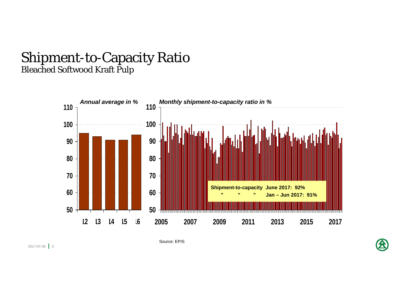#### Shipment-to-Capacity Ratio Bleached Softwood Kraft Pulp



Source: EPIS

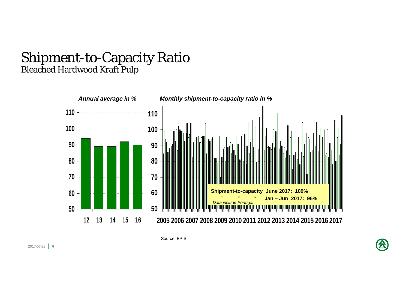#### Shipment-to-Capacity Ratio Bleached Hardwood Kraft Pulp



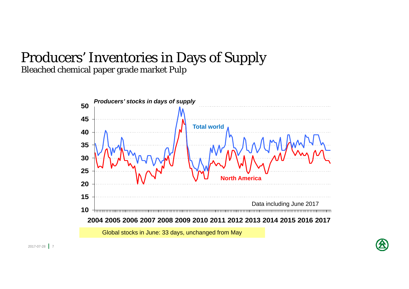## Producers' Inventories in Days of Supply Bleached chemical paper grade market Pulp

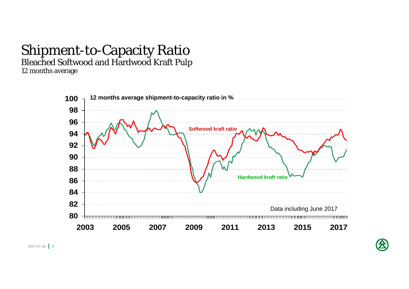# Shipment-to-Capacity Ratio

Bleached Softwood and Hardwood Kraft Pulp

12 months average



2017-07-28 | 8

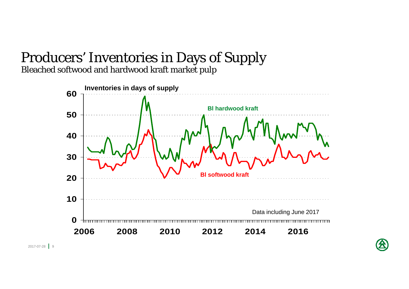# Producers' Inventories in Days of Supply

Bleached softwood and hardwood kraft market pulp



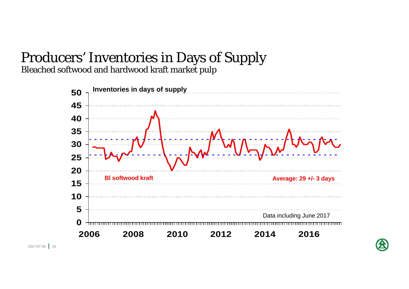# Producers' Inventories in Days of Supply

Bleached softwood and hardwood kraft market pulp



2017-07-28 **1** 10

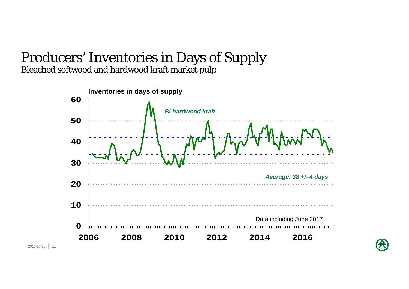#### Producers' Inventories in Days of Supply Bleached softwood and hardwood kraft market pulp



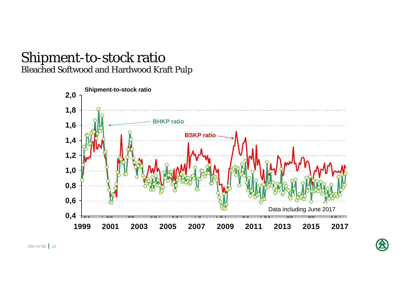### Shipment-to-stock ratio Bleached Softwood and Hardwood Kraft Pulp



2017-07-28 | 12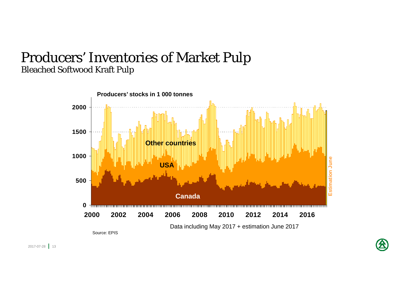## Producers' Inventories of Market Pulp Bleached Softwood Kraft Pulp

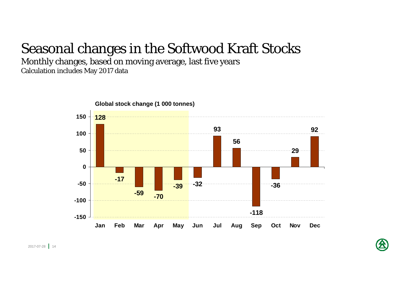## Seasonal changes in the Softwood Kraft Stocks

Monthly changes, based on moving average, last five years Calculation includes May 2017 data



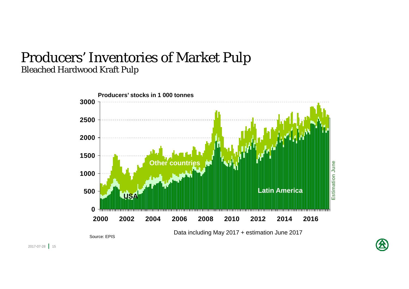### Producers' Inventories of Market Pulp Bleached Hardwood Kraft Pulp



Source: EPIS

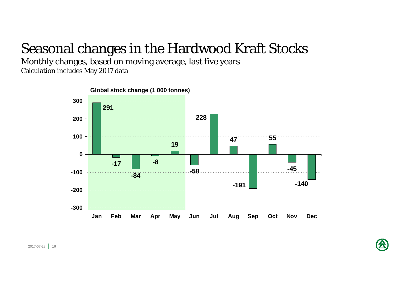## Seasonal changes in the Hardwood Kraft Stocks

Monthly changes, based on moving average, last five years Calculation includes May 2017 data

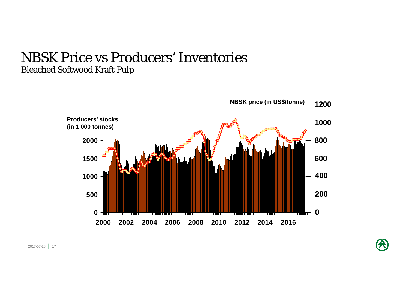### NBSK Price vs Producers' Inventories Bleached Softwood Kraft Pulp

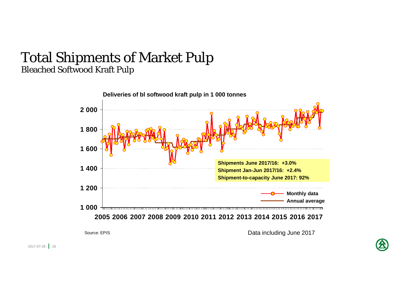#### Total Shipments of Market Pulp Bleached Softwood Kraft Pulp



Data including June 2017

Source: EPIS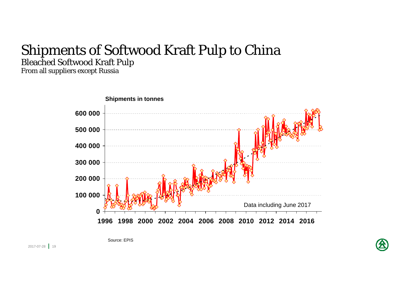## Shipments of Softwood Kraft Pulp to China Bleached Softwood Kraft Pulp

From all suppliers except Russia



Source: EPIS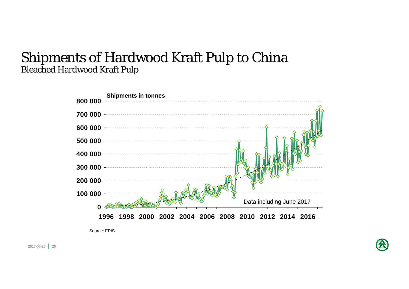### Shipments of Hardwood Kraft Pulp to China Bleached Hardwood Kraft Pulp



Source: EPIS

2017-07-28 <mark>|</mark> 20

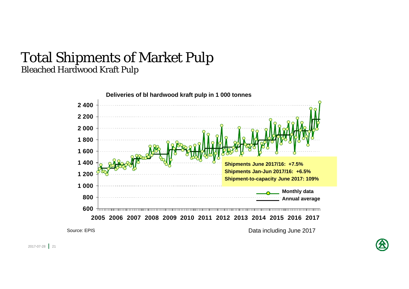#### Total Shipments of Market Pulp Bleached Hardwood Kraft Pulp



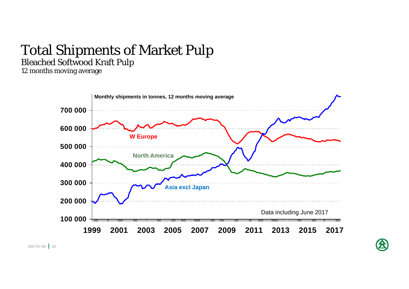# Total Shipments of Market Pulp

Bleached Softwood Kraft Pulp

12 months moving average

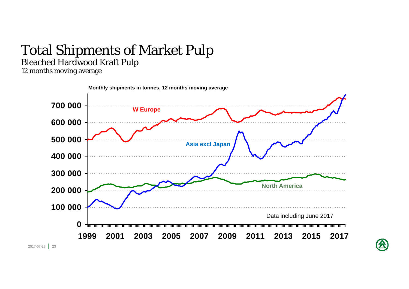# Total Shipments of Market Pulp

#### Bleached Hardwood Kraft Pulp

12 months moving average